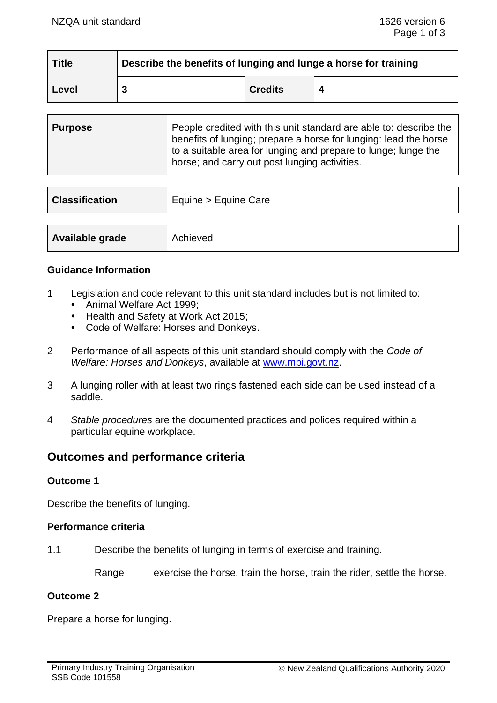| <b>Title</b> | Describe the benefits of lunging and lunge a horse for training |                |   |
|--------------|-----------------------------------------------------------------|----------------|---|
| Level        |                                                                 | <b>Credits</b> | 4 |

| <b>Purpose</b> | People credited with this unit standard are able to: describe the<br>benefits of lunging; prepare a horse for lunging: lead the horse<br>to a suitable area for lunging and prepare to lunge; lunge the<br>horse; and carry out post lunging activities. |
|----------------|----------------------------------------------------------------------------------------------------------------------------------------------------------------------------------------------------------------------------------------------------------|
|                |                                                                                                                                                                                                                                                          |

| <b>Classification</b> | Equine > Equine Care |  |
|-----------------------|----------------------|--|
|                       |                      |  |
| Available grade       | Achieved             |  |

# **Guidance Information**

- 1 Legislation and code relevant to this unit standard includes but is not limited to:
	- Animal Welfare Act 1999:
	- Health and Safety at Work Act 2015;
	- Code of Welfare: Horses and Donkeys.
- 2 Performance of all aspects of this unit standard should comply with the *Code of Welfare: Horses and Donkeys*, available at [www.mpi.govt.nz.](http://www.mpi.govt.nz/)
- 3 A lunging roller with at least two rings fastened each side can be used instead of a saddle.
- 4 *Stable procedures* are the documented practices and polices required within a particular equine workplace.

# **Outcomes and performance criteria**

# **Outcome 1**

Describe the benefits of lunging.

# **Performance criteria**

1.1 Describe the benefits of lunging in terms of exercise and training.

Range exercise the horse, train the horse, train the rider, settle the horse.

#### **Outcome 2**

Prepare a horse for lunging.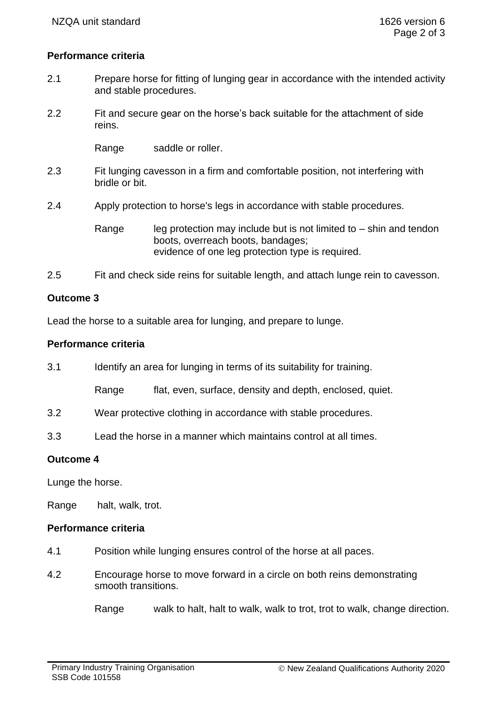# **Performance criteria**

- 2.1 Prepare horse for fitting of lunging gear in accordance with the intended activity and stable procedures.
- 2.2 Fit and secure gear on the horse's back suitable for the attachment of side reins.

Range saddle or roller.

- 2.3 Fit lunging cavesson in a firm and comfortable position, not interfering with bridle or bit.
- 2.4 Apply protection to horse's legs in accordance with stable procedures.

Range leg protection may include but is not limited to  $-$  shin and tendon boots, overreach boots, bandages; evidence of one leg protection type is required.

2.5 Fit and check side reins for suitable length, and attach lunge rein to cavesson.

# **Outcome 3**

Lead the horse to a suitable area for lunging, and prepare to lunge.

#### **Performance criteria**

3.1 Identify an area for lunging in terms of its suitability for training.

Range flat, even, surface, density and depth, enclosed, quiet.

- 3.2 Wear protective clothing in accordance with stable procedures.
- 3.3 Lead the horse in a manner which maintains control at all times.

# **Outcome 4**

Lunge the horse.

Range halt, walk, trot.

# **Performance criteria**

- 4.1 Position while lunging ensures control of the horse at all paces.
- 4.2 Encourage horse to move forward in a circle on both reins demonstrating smooth transitions.

Range walk to halt, halt to walk, walk to trot, trot to walk, change direction.